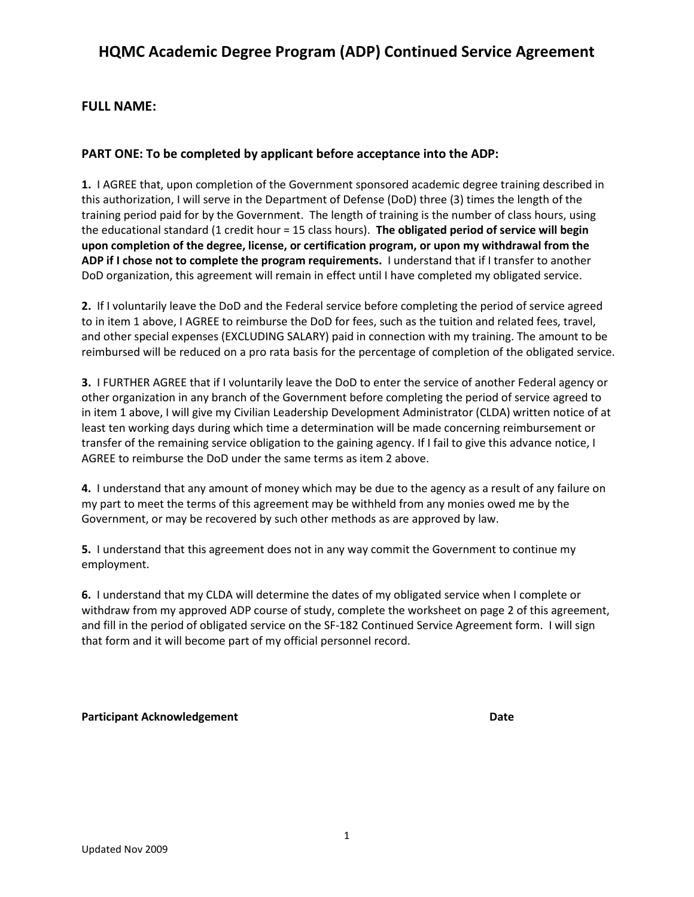## **HQMC Academic Degree Program (ADP) Continued Service Agreement**

### **FULL NAME:**

### **PART ONE: To be completed by applicant before acceptance into the ADP:**

**1.** I AGREE that, upon completion of the Government sponsored academic degree training described in this authorization, I will serve in the Department of Defense (DoD) three (3) times the length of the training period paid for by the Government. The length of training is the number of class hours, using the educational standard (1 credit hour = 15 class hours). **The obligated period of service will begin upon completion of the degree, license, or certification program, or upon my withdrawal from the ADP if I chose not to complete the program requirements.** I understand that if I transfer to another DoD organization, this agreement will remain in effect until I have completed my obligated service.

**2.** If I voluntarily leave the DoD and the Federal service before completing the period of service agreed to in item 1 above, I AGREE to reimburse the DoD for fees, such as the tuition and related fees, travel, and other special expenses (EXCLUDING SALARY) paid in connection with my training. The amount to be reimbursed will be reduced on a pro rata basis for the percentage of completion of the obligated service.

**3.** I FURTHER AGREE that if I voluntarily leave the DoD to enter the service of another Federal agency or other organization in any branch of the Government before completing the period of service agreed to in item 1 above, I will give my Civilian Leadership Development Administrator (CLDA) written notice of at least ten working days during which time a determination will be made concerning reimbursement or transfer of the remaining service obligation to the gaining agency. If I fail to give this advance notice, I AGREE to reimburse the DoD under the same terms as item 2 above.

**4.** I understand that any amount of money which may be due to the agency as a result of any failure on my part to meet the terms of this agreement may be withheld from any monies owed me by the Government, or may be recovered by such other methods as are approved by law.

**5.** I understand that this agreement does not in any way commit the Government to continue my employment.

**6.** I understand that my CLDA will determine the dates of my obligated service when I complete or withdraw from my approved ADP course of study, complete the worksheet on page 2 of this agreement, and fill in the period of obligated service on the SF-182 Continued Service Agreement form. I will sign that form and it will become part of my official personnel record.

#### **Participant Acknowledgement Date**